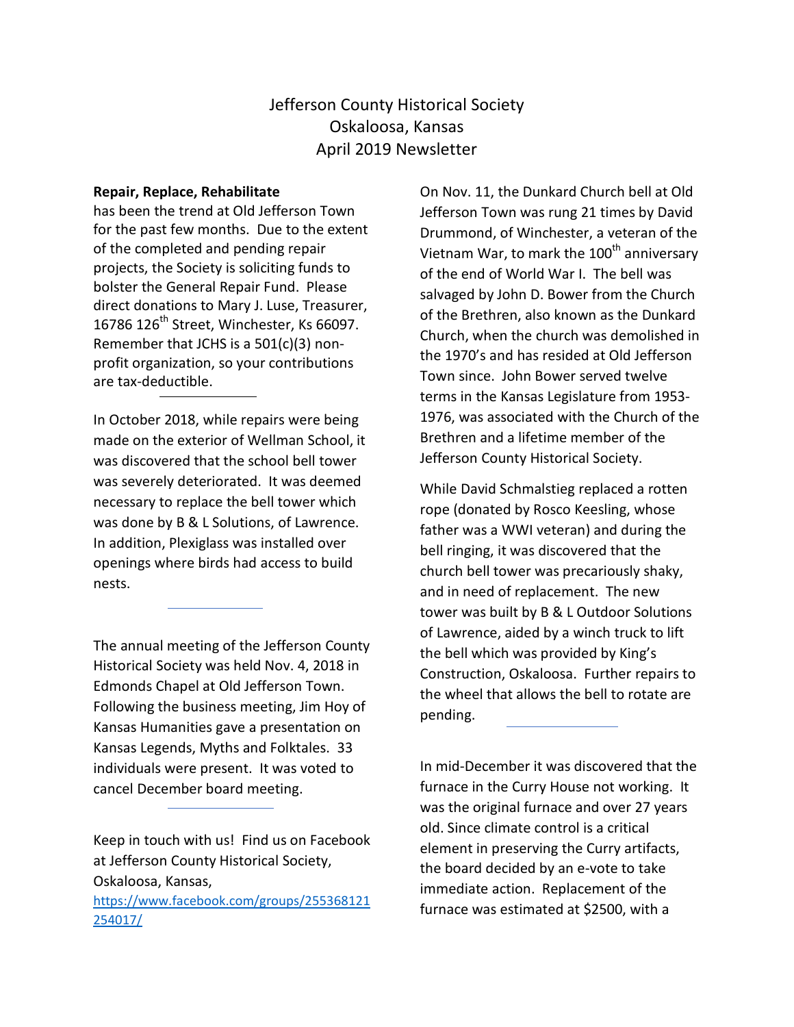## Jefferson County Historical Society Oskaloosa, Kansas April 2019 Newsletter

## **Repair, Replace, Rehabilitate**

has been the trend at Old Jefferson Town for the past few months. Due to the extent of the completed and pending repair projects, the Society is soliciting funds to bolster the General Repair Fund. Please direct donations to Mary J. Luse, Treasurer, 16786 126<sup>th</sup> Street, Winchester, Ks 66097. Remember that JCHS is a 501(c)(3) nonprofit organization, so your contributions are tax-deductible.

In October 2018, while repairs were being made on the exterior of Wellman School, it was discovered that the school bell tower was severely deteriorated. It was deemed necessary to replace the bell tower which was done by B & L Solutions, of Lawrence. In addition, Plexiglass was installed over openings where birds had access to build nests.

The annual meeting of the Jefferson County Historical Society was held Nov. 4, 2018 in Edmonds Chapel at Old Jefferson Town. Following the business meeting, Jim Hoy of Kansas Humanities gave a presentation on Kansas Legends, Myths and Folktales. 33 individuals were present. It was voted to cancel December board meeting.

Keep in touch with us! Find us on Facebook at Jefferson County Historical Society, Oskaloosa, Kansas, [https://www.facebook.com/groups/255368121](https://www.facebook.com/groups/255368121254017/) [254017/](https://www.facebook.com/groups/255368121254017/)

On Nov. 11, the Dunkard Church bell at Old Jefferson Town was rung 21 times by David Drummond, of Winchester, a veteran of the Vietnam War, to mark the 100<sup>th</sup> anniversary of the end of World War I. The bell was salvaged by John D. Bower from the Church of the Brethren, also known as the Dunkard Church, when the church was demolished in the 1970's and has resided at Old Jefferson Town since. John Bower served twelve terms in the Kansas Legislature from 1953- 1976, was associated with the Church of the Brethren and a lifetime member of the Jefferson County Historical Society.

While David Schmalstieg replaced a rotten rope (donated by Rosco Keesling, whose father was a WWI veteran) and during the bell ringing, it was discovered that the church bell tower was precariously shaky, and in need of replacement. The new tower was built by B & L Outdoor Solutions of Lawrence, aided by a winch truck to lift the bell which was provided by King's Construction, Oskaloosa. Further repairs to the wheel that allows the bell to rotate are pending.

In mid-December it was discovered that the furnace in the Curry House not working. It was the original furnace and over 27 years old. Since climate control is a critical element in preserving the Curry artifacts, the board decided by an e-vote to take immediate action. Replacement of the furnace was estimated at \$2500, with a